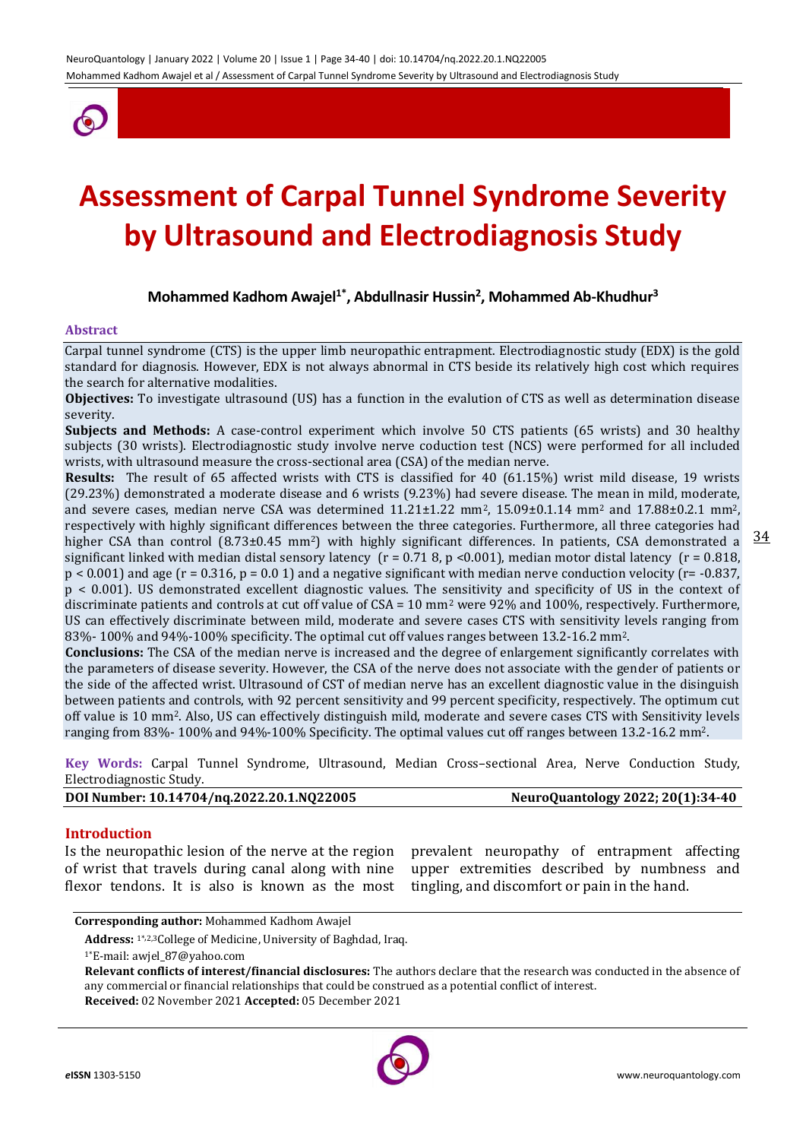

# **Assessment of Carpal Tunnel Syndrome Severity by Ultrasound and Electrodiagnosis Study**

# **Mohammed Kadhom Awajel1\* , Abdullnasir Hussin<sup>2</sup> , Mohammed Ab-Khudhur<sup>3</sup>**

#### **Abstract**

Carpal tunnel syndrome (CTS) is the upper limb neuropathic entrapment. Electrodiagnostic study (EDX) is the gold standard for diagnosis. However, EDX is not always abnormal in CTS beside its relatively high cost which requires the search for alternative modalities.

**Objectives:** To investigate ultrasound (US) has a function in the evalution of CTS as well as determination disease severity.

**Subjects and Methods:** A case-control experiment which involve 50 CTS patients (65 wrists) and 30 healthy subjects (30 wrists). Electrodiagnostic study involve nerve coduction test (NCS) were performed for all included wrists, with ultrasound measure the cross-sectional area (CSA) of the median nerve.

higher CSA than control  $(8.73\pm0.45 \text{ mm}^2)$  with highly significant differences. In patients, CSA demonstrated a  $\frac{34}{100}$ **Results:** The result of 65 affected wrists with CTS is classified for 40 (61.15%) wrist mild disease, 19 wrists (29.23%) demonstrated a moderate disease and 6 wrists (9.23%) had severe disease. The mean in mild, moderate, and severe cases, median nerve CSA was determined 11.21±1.22 mm<sup>2</sup>, 15.09±0.1.14 mm<sup>2</sup> and 17.88±0.2.1 mm<sup>2</sup>, respectively with highly significant differences between the three categories. Furthermore, all three categories had significant linked with median distal sensory latency ( $r = 0.718$ ,  $p \lt 0.001$ ), median motor distal latency ( $r = 0.818$ ,  $p < 0.001$  and age (r = 0.316, p = 0.0 1) and a negative significant with median nerve conduction velocity (r= -0.837, p < 0.001). US demonstrated excellent diagnostic values. The sensitivity and specificity of US in the context of discriminate patients and controls at cut off value of CSA = 10 mm<sup>2</sup> were 92% and 100%, respectively. Furthermore, US can effectively discriminate between mild, moderate and severe cases CTS with sensitivity levels ranging from 83%- 100% and 94%-100% specificity. The optimal cut off values ranges between 13.2-16.2 mm2.

**Conclusions:** The CSA of the median nerve is increased and the degree of enlargement significantly correlates with the parameters of disease severity. However, the CSA of the nerve does not associate with the gender of patients or the side of the affected wrist. Ultrasound of CST of median nerve has an excellent diagnostic value in the disinguish between patients and controls, with 92 percent sensitivity and 99 percent specificity, respectively. The optimum cut off value is 10 mm2. Also, US can effectively distinguish mild, moderate and severe cases CTS with Sensitivity levels ranging from 83%- 100% and 94%-100% Specificity. The optimal values cut off ranges between 13.2-16.2 mm2.

**Key Words:** Carpal Tunnel Syndrome, Ultrasound, Median Cross–sectional Area, Nerve Conduction Study, Electrodiagnostic Study.

**DOI Number: 10.14704/nq.2022.20.1.NQ22005 NeuroQuantology 2022; 20(1):34-40**

#### **Introduction**

Is the neuropathic lesion of the nerve at the region of wrist that travels during canal along with nine flexor tendons. It is also is known as the most

prevalent neuropathy of entrapment affecting upper extremities described by numbness and tingling, and discomfort or pain in the hand.

```
Corresponding author: Mohammed Kadhom Awajel
```
**Address:** 1\*,2,3College of Medicine, University of Baghdad, Iraq.

**Relevant conflicts of interest/financial disclosures:** The authors declare that the research was conducted in the absence of any commercial or financial relationships that could be construed as a potential conflict of interest. **Received:** 02 November 2021 **Accepted:** 05 December 2021



<sup>1\*</sup>E-mail: awjel\_87@yahoo.com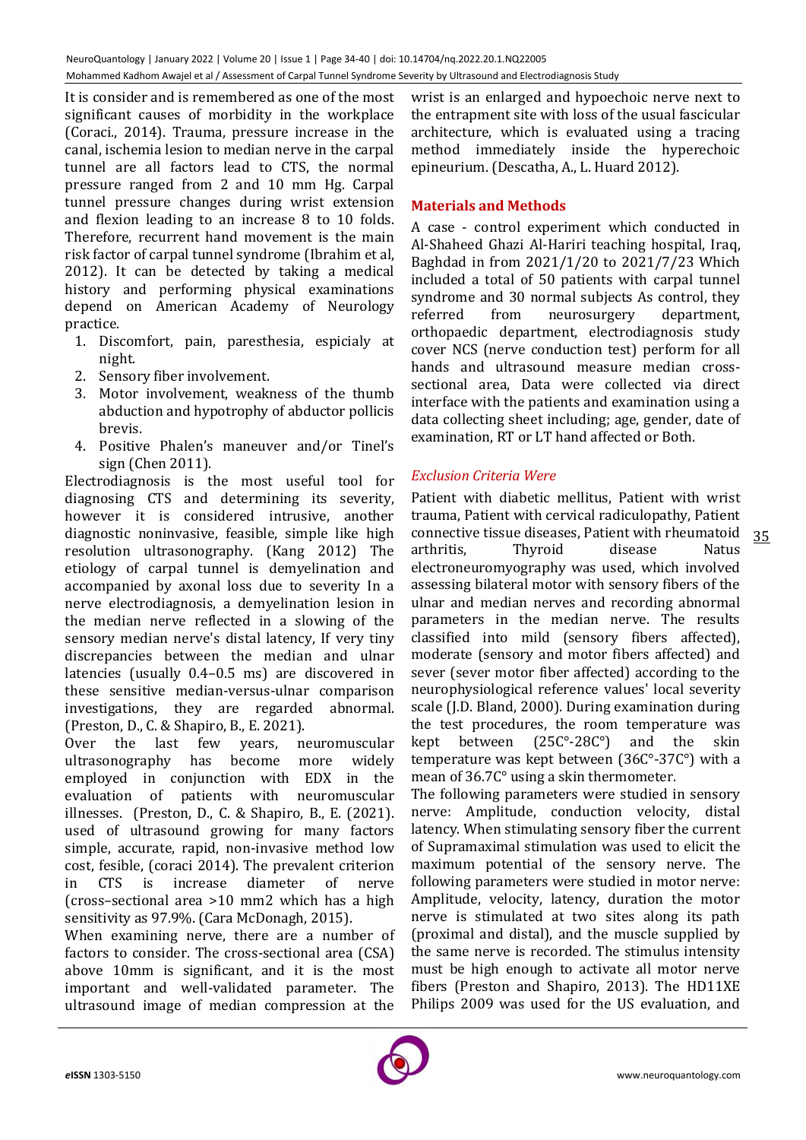It is consider and is remembered as one of the most significant causes of morbidity in the workplace (Coraci*.*, 2014). Trauma, pressure increase in the canal, ischemia lesion to median nerve in the carpal tunnel are all factors lead to CTS, the normal pressure ranged from 2 and 10 mm Hg. Carpal tunnel pressure changes during wrist extension and flexion leading to an increase 8 to 10 folds. Therefore, recurrent hand movement is the main risk factor of carpal tunnel syndrome (Ibrahim et al, 2012). It can be detected by taking a medical history and performing physical examinations depend on American Academy of Neurology practice.

- 1. Discomfort, pain, paresthesia, espicialy at night.
- 2. Sensory fiber involvement.
- 3. Motor involvement, weakness of the thumb abduction and hypotrophy of abductor pollicis brevis.
- 4. Positive Phalen's maneuver and/or Tinel's sign (Chen 2011).

Electrodiagnosis is the most useful tool for diagnosing CTS and determining its severity, however it is considered intrusive, another diagnostic noninvasive, feasible, simple like high resolution ultrasonography. (Kang 2012) The etiology of carpal tunnel is demyelination and accompanied by axonal loss due to severity In a nerve electrodiagnosis, a demyelination lesion in the median nerve reflected in a slowing of the sensory median nerve's distal latency, If very tiny discrepancies between the median and ulnar latencies (usually 0.4–0.5 ms) are discovered in these sensitive median-versus-ulnar comparison investigations, they are regarded abnormal. (Preston, D., C. & Shapiro, B., E. 2021).

Over the last few years, neuromuscular ultrasonography has become more widely employed in conjunction with EDX in the evaluation of patients with neuromuscular illnesses. (Preston, D., C. & Shapiro, B., E. (2021). used of ultrasound growing for many factors simple, accurate, rapid, non-invasive method low cost, fesible, (coraci 2014). The prevalent criterion in CTS is increase diameter of nerve (cross–sectional area >10 mm2 which has a high sensitivity as 97.9%. (Cara McDonagh, 2015).

When examining nerve, there are a number of factors to consider. The cross-sectional area (CSA) above 10mm is significant, and it is the most important and well-validated parameter. The ultrasound image of median compression at the

wrist is an enlarged and hypoechoic nerve next to the entrapment site with loss of the usual fascicular architecture, which is evaluated using a tracing method immediately inside the hyperechoic epineurium. (Descatha, A., L. Huard 2012).

# **Materials and Methods**

A case - control experiment which conducted in Al-Shaheed Ghazi Al-Hariri teaching hospital, Iraq, Baghdad in from 2021/1/20 to 2021/7/23 Which included a total of 50 patients with carpal tunnel syndrome and 30 normal subjects As control, they referred from neurosurgery department, orthopaedic department, electrodiagnosis study cover NCS (nerve conduction test) perform for all hands and ultrasound measure median crosssectional area, Data were collected via direct interface with the patients and examination using a data collecting sheet including; age, gender, date of examination, RT or LT hand affected or Both.

# *Exclusion Criteria Were*

Patient with diabetic mellitus, Patient with wrist trauma, Patient with cervical radiculopathy, Patient connective tissue diseases, Patient with rheumatoid arthritis, Thyroid disease Natus electroneuromyography was used, which involved assessing bilateral motor with sensory fibers of the ulnar and median nerves and recording abnormal parameters in the median nerve. The results classified into mild (sensory fibers affected), moderate (sensory and motor fibers affected) and sever (sever motor fiber affected) according to the neurophysiological reference values' local severity scale (J.D. Bland, 2000). During examination during the test procedures, the room temperature was kept between (25C°-28C°) and the skin temperature was kept between (36C°-37C°) with a mean of 36.7C° using a skin thermometer.

The following parameters were studied in sensory nerve: Amplitude, conduction velocity, distal latency. When stimulating sensory fiber the current of Supramaximal stimulation was used to elicit the maximum potential of the sensory nerve. The following parameters were studied in motor nerve: Amplitude, velocity, latency, duration the motor nerve is stimulated at two sites along its path (proximal and distal), and the muscle supplied by the same nerve is recorded. The stimulus intensity must be high enough to activate all motor nerve fibers (Preston and Shapiro, 2013). The HD11XE Philips 2009 was used for the US evaluation, and



35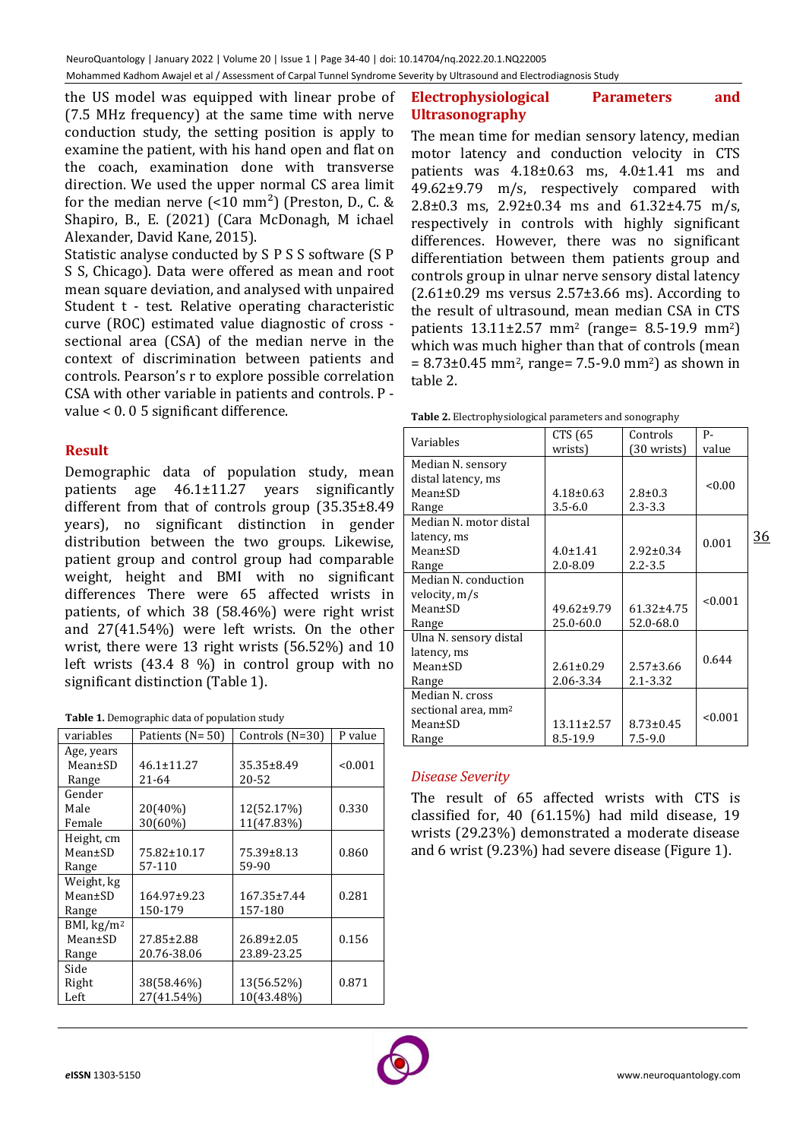the US model was equipped with linear probe of (7.5 MHz frequency) at the same time with nerve conduction study, the setting position is apply to examine the patient, with his hand open and flat on the coach, examination done with transverse direction. We used the upper normal CS area limit for the median nerve  $\left($  <10 mm<sup>2</sup> $\right)$  (Preston, D., C. & Shapiro, B., E. (2021) (Cara McDonagh, M ichael Alexander, David Kane, 2015).

Statistic analyse conducted by S P S S software (S P S S, Chicago). Data were offered as mean and root mean square deviation, and analysed with unpaired Student t - test. Relative operating characteristic curve (ROC) estimated value diagnostic of cross sectional area (CSA) of the median nerve in the context of discrimination between patients and controls. Pearson's r to explore possible correlation CSA with other variable in patients and controls. P value < 0. 0 5 significant difference.

# **Result**

Demographic data of population study, mean patients age 46.1±11.27 years significantly different from that of controls group (35.35±8.49 years), no significant distinction in gender distribution between the two groups. Likewise, patient group and control group had comparable weight, height and BMI with no significant differences There were 65 affected wrists in patients, of which 38 (58.46%) were right wrist and 27(41.54%) were left wrists. On the other wrist, there were 13 right wrists (56.52%) and 10 left wrists (43.4 8 %) in control group with no significant distinction (Table 1).

| variables                   | Patients (N= 50) | Controls (N=30) | P value |
|-----------------------------|------------------|-----------------|---------|
| Age, years                  |                  |                 |         |
| Mean±SD                     | 46.1±11.27       | 35.35±8.49      | < 0.001 |
| Range                       | 21-64            | 20-52           |         |
| Gender                      |                  |                 |         |
| Male                        | 20(40%)          | 12(52.17%)      | 0.330   |
| Female                      | 30(60%)          | 11(47.83%)      |         |
| Height, cm                  |                  |                 |         |
| Mean±SD                     | 75.82±10.17      | 75.39±8.13      | 0.860   |
| Range                       | 57-110           | 59-90           |         |
| Weight, kg                  |                  |                 |         |
| Mean±SD                     | 164.97±9.23      | 167.35±7.44     | 0.281   |
| Range                       | 150-179          | 157-180         |         |
| BMI, $\text{kg}/\text{m}^2$ |                  |                 |         |
| Mean±SD                     | 27.85±2.88       | 26.89±2.05      | 0.156   |
| Range                       | 20.76-38.06      | 23.89-23.25     |         |
| Side                        |                  |                 |         |
| Right                       | 38(58.46%)       | 13(56.52%)      | 0.871   |
| Left                        | 27(41.54%)       | 10(43.48%)      |         |
|                             |                  |                 |         |

# **Electrophysiological Parameters and Ultrasonography**

The mean time for median sensory latency, median motor latency and conduction velocity in CTS patients was  $4.18\pm0.63$  ms,  $4.0\pm1.41$  ms and 49.62±9.79 m/s, respectively compared with 2.8±0.3 ms, 2.92±0.34 ms and 61.32±4.75 m/s, respectively in controls with highly significant differences. However, there was no significant differentiation between them patients group and controls group in ulnar nerve sensory distal latency  $(2.61\pm0.29$  ms versus  $2.57\pm3.66$  ms). According to the result of ultrasound, mean median CSA in CTS patients 13.11±2.57 mm<sup>2</sup> (range= 8.5-19.9 mm2) which was much higher than that of controls (mean  $= 8.73 \pm 0.45$  mm<sup>2</sup>, range= 7.5-9.0 mm<sup>2</sup>) as shown in table 2.

|  | <b>Table 2.</b> Electrophysiological parameters and sonography |
|--|----------------------------------------------------------------|

| Variables                       | CTS (65          | Controls        | P-      |           |
|---------------------------------|------------------|-----------------|---------|-----------|
|                                 | wrists)          | (30 wrists)     | value   |           |
| Median N. sensory               |                  |                 |         |           |
| distal latency, ms              |                  |                 | < 0.00  |           |
| $Mean \pm SD$                   | $4.18 \pm 0.63$  | $2.8 \pm 0.3$   |         |           |
| Range                           | $3.5 - 6.0$      | $2.3 - 3.3$     |         |           |
| Median N. motor distal          |                  |                 |         |           |
| latency, ms                     |                  |                 | 0.001   | <u>36</u> |
| Mean±SD                         | $4.0 \pm 1.41$   | $2.92 \pm 0.34$ |         |           |
| Range                           | $2.0 - 8.09$     | $2.2 - 3.5$     |         |           |
| Median N. conduction            |                  |                 |         |           |
| velocity, m/s                   |                  |                 | < 0.001 |           |
| Mean±SD                         | $49.62 \pm 9.79$ | 61.32±4.75      |         |           |
| Range                           | 25.0-60.0        | 52.0-68.0       |         |           |
| Ulna N. sensory distal          |                  |                 |         |           |
| latency, ms                     |                  |                 | 0.644   |           |
| Mean±SD                         | $2.61 \pm 0.29$  | $2.57 \pm 3.66$ |         |           |
| Range                           | 2.06-3.34        | $2.1 - 3.32$    |         |           |
| Median N. cross                 |                  |                 |         |           |
| sectional area, mm <sup>2</sup> |                  |                 | < 0.001 |           |
| Mean±SD                         | $13.11 \pm 2.57$ | $8.73 \pm 0.45$ |         |           |
| Range                           | 8.5-19.9         | $7.5 - 9.0$     |         |           |

# *Disease Severity*

The result of 65 affected wrists with CTS is classified for, 40 (61.15%) had mild disease, 19 wrists (29.23%) demonstrated a moderate disease and 6 wrist (9.23%) had severe disease (Figure 1).

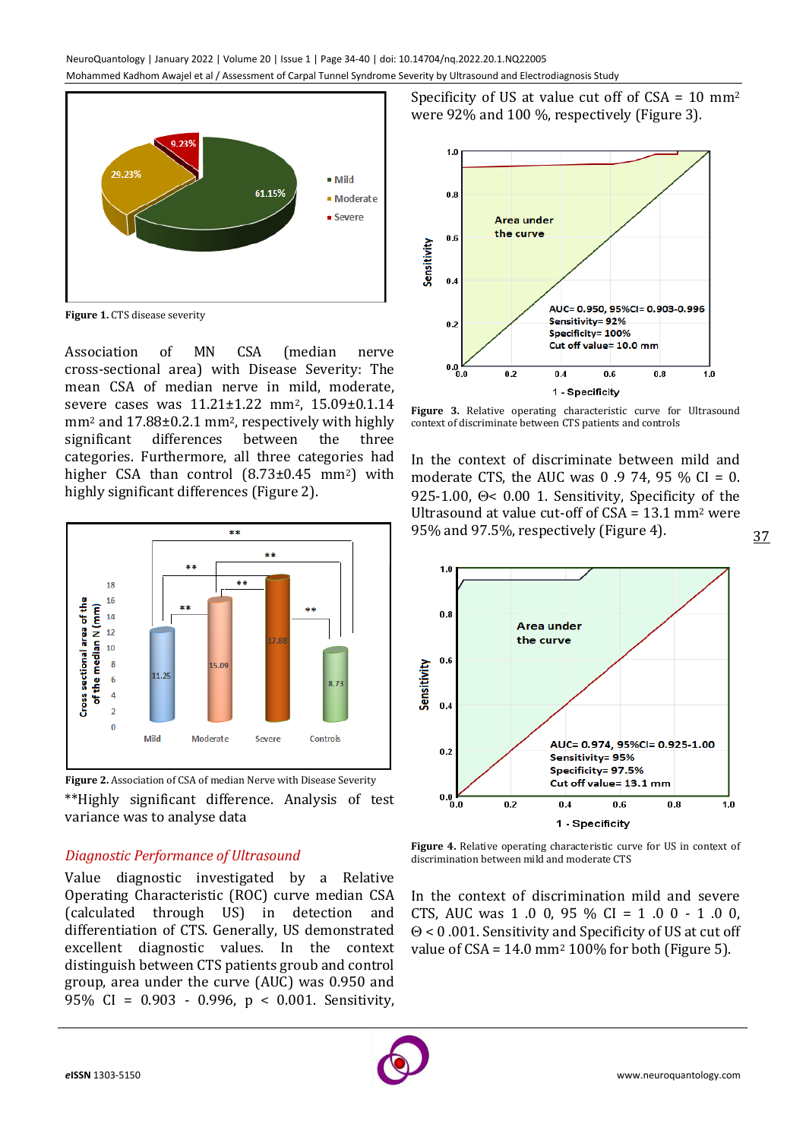

**Figure 1.** CTS disease severity

Association of MN CSA (median nerve cross-sectional area) with Disease Severity: The mean CSA of median nerve in mild, moderate, severe cases was 11.21±1.22 mm<sup>2</sup>, 15.09±0.1.14 mm<sup>2</sup> and 17.88±0.2.1 mm<sup>2</sup>, respectively with highly significant differences between the three categories. Furthermore, all three categories had higher CSA than control  $(8.73\pm0.45 \text{ mm}^2)$  with highly significant differences (Figure 2).



**Figure 2.** Association of CSA of median Nerve with Disease Severity \*\*Highly significant difference. Analysis of test variance was to analyse data

# *Diagnostic Performance of Ultrasound*

Value diagnostic investigated by a Relative Operating Characteristic (ROC) curve median CSA (calculated through US) in detection and differentiation of CTS. Generally, US demonstrated excellent diagnostic values. In the context distinguish between CTS patients groub and control group, area under the curve (AUC) was 0.950 and 95% CI = 0.903 - 0.996, p < 0.001. Sensitivity,

Specificity of US at value cut off of  $CSA = 10$  mm<sup>2</sup> were 92% and 100 %, respectively (Figure 3).



**Figure 3.** Relative operating characteristic curve for Ultrasound context of discriminate between CTS patients and controls

In the context of discriminate between mild and moderate CTS, the AUC was  $0.9$  74, 95 % CI = 0. 925-1.00,  $\Theta$ < 0.00 1. Sensitivity, Specificity of the Ultrasound at value cut-off of  $CSA = 13.1$  mm<sup>2</sup> were 95% and 97.5%, respectively (Figure 4).



**Figure 4.** Relative operating characteristic curve for US in context of discrimination between mild and moderate CTS

In the context of discrimination mild and severe CTS, AUC was 1 .0 0, 95 % CI = 1 .0 0 - 1 .0 0,  $\Theta$  < 0.001. Sensitivity and Specificity of US at cut off value of  $CSA = 14.0$  mm<sup>2</sup> 100% for both (Figure 5).

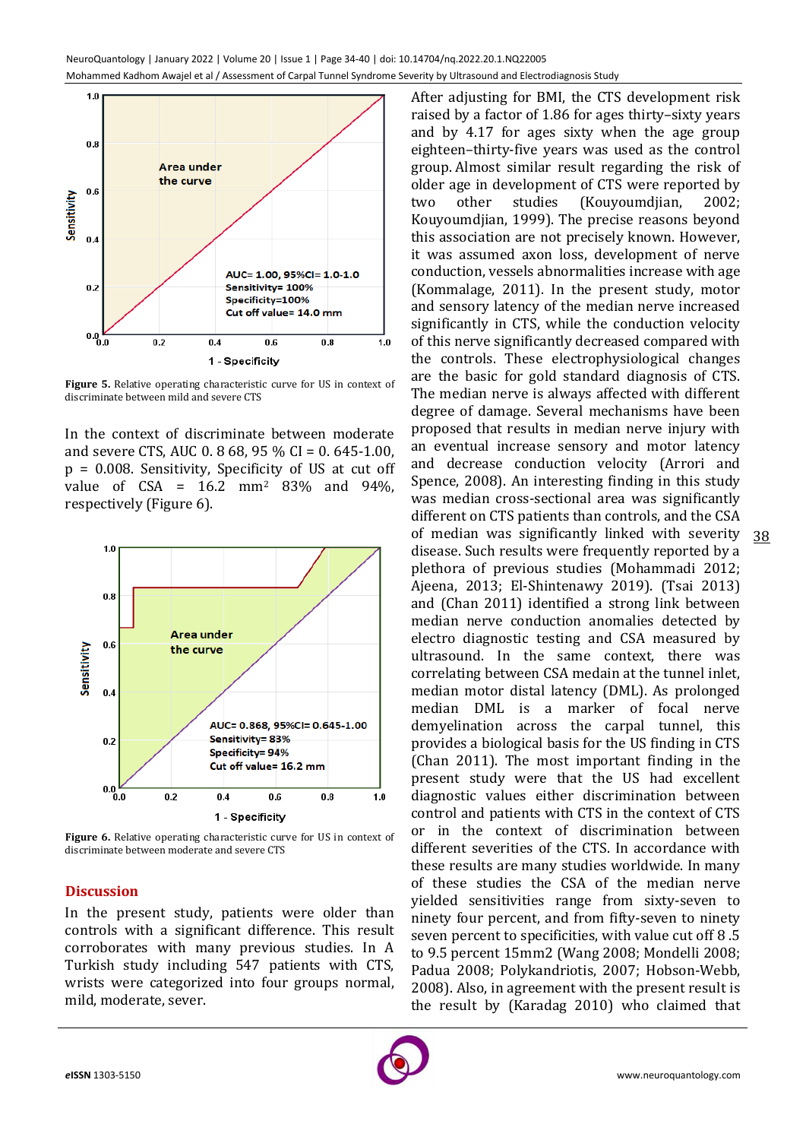

**Figure 5.** Relative operating characteristic curve for US in context of discriminate between mild and severe CTS

In the context of discriminate between moderate and severe CTS, AUC 0. 8 68, 95 % CI = 0. 645-1.00, p = 0.008. Sensitivity, Specificity of US at cut off value of CSA = 16.2 mm<sup>2</sup> 83% and 94%, respectively (Figure 6).



**Figure 6.** Relative operating characteristic curve for US in context of discriminate between moderate and severe CTS

# **Discussion**

In the present study, patients were older than controls with a significant difference. This result corroborates with many previous studies. In A Turkish study including 547 patients with CTS, wrists were categorized into four groups normal, mild, moderate, sever.

After adjusting for BMI, the CTS development risk raised by a factor of 1.86 for ages thirty–sixty years and by 4.17 for ages sixty when the age group eighteen–thirty-five years was used as the control group. Almost similar result regarding the risk of older age in development of CTS were reported by two other studies (Kouyoumdjian, 2002; Kouyoumdjian, 1999). The precise reasons beyond this association are not precisely known. However, it was assumed axon loss, development of nerve conduction, vessels abnormalities increase with age (Kommalage, 2011). In the present study, motor and sensory latency of the median nerve increased significantly in CTS, while the conduction velocity of this nerve significantly decreased compared with the controls. These electrophysiological changes are the basic for gold standard diagnosis of CTS. The median nerve is always affected with different degree of damage. Several mechanisms have been proposed that results in median nerve injury with an eventual increase sensory and motor latency and decrease conduction velocity (Arrori and Spence, 2008). An interesting finding in this study was median cross-sectional area was significantly different on CTS patients than controls, and the CSA of median was significantly linked with severity disease. Such results were frequently reported by a plethora of previous studies (Mohammadi 2012; Ajeena, 2013; El-Shintenawy 2019). (Tsai 2013) and (Chan 2011) identified a strong link between median nerve conduction anomalies detected by electro diagnostic testing and CSA measured by ultrasound. In the same context, there was correlating between CSA medain at the tunnel inlet, median motor distal latency (DML). As prolonged median DML is a marker of focal nerve demyelination across the carpal tunnel, this provides a biological basis for the US finding in CTS (Chan 2011). The most important finding in the present study were that the US had excellent diagnostic values either discrimination between control and patients with CTS in the context of CTS or in the context of discrimination between different severities of the CTS. In accordance with these results are many studies worldwide. In many of these studies the CSA of the median nerve yielded sensitivities range from sixty-seven to ninety four percent, and from fifty-seven to ninety seven percent to specificities, with value cut off 8 .5 to 9.5 percent 15mm2 (Wang 2008; Mondelli 2008; Padua 2008; Polykandriotis, 2007; Hobson-Webb, 2008). Also, in agreement with the present result is the result by (Karadag 2010) who claimed that

38

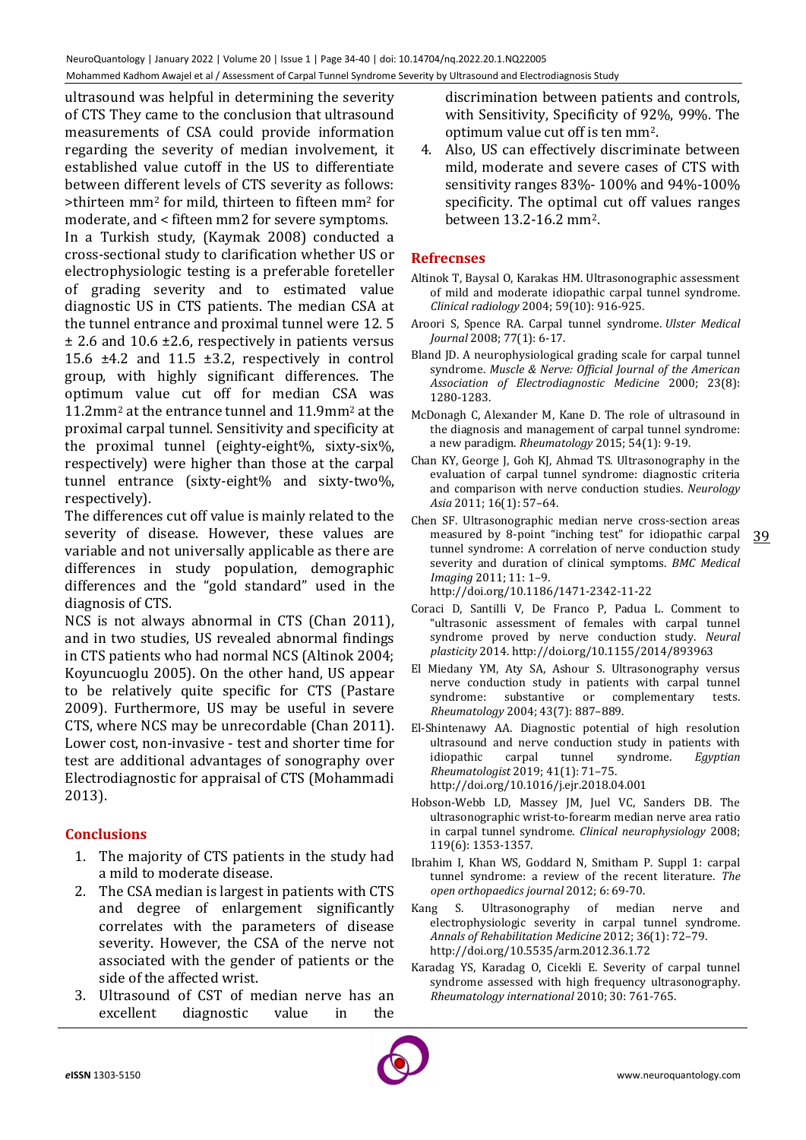ultrasound was helpful in determining the severity of CTS They came to the conclusion that ultrasound measurements of CSA could provide information regarding the severity of median involvement, it established value cutoff in the US to differentiate between different levels of CTS severity as follows: >thirteen mm<sup>2</sup> for mild, thirteen to fifteen mm<sup>2</sup> for moderate, and < fifteen mm2 for severe symptoms. In a Turkish study, (Kaymak 2008) conducted a cross-sectional study to clarification whether US or electrophysiologic testing is a preferable foreteller of grading severity and to estimated value diagnostic US in CTS patients. The median CSA at the tunnel entrance and proximal tunnel were 12. 5 ± 2.6 and 10.6 ±2.6, respectively in patients versus 15.6 ±4.2 and 11.5 ±3.2, respectively in control group, with highly significant differences. The optimum value cut off for median CSA was 11.2mm<sup>2</sup> at the entrance tunnel and 11.9mm<sup>2</sup> at the proximal carpal tunnel. Sensitivity and specificity at the proximal tunnel (eighty-eight%, sixty-six%, respectively) were higher than those at the carpal tunnel entrance (sixty-eight% and sixty-two%, respectively).

The differences cut off value is mainly related to the severity of disease. However, these values are variable and not universally applicable as there are differences in study population, demographic differences and the "gold standard" used in the diagnosis of CTS.

NCS is not always abnormal in CTS (Chan 2011), and in two studies, US revealed abnormal findings in CTS patients who had normal NCS (Altinok 2004; Koyuncuoglu 2005). On the other hand, US appear to be relatively quite specific for CTS (Pastare 2009). Furthermore, US may be useful in severe CTS, where NCS may be unrecordable (Chan 2011). Lower cost, non-invasive - test and shorter time for test are additional advantages of sonography over Electrodiagnostic for appraisal of CTS (Mohammadi 2013).

# **Conclusions**

- 1. The majority of CTS patients in the study had a mild to moderate disease.
- 2. The CSA median is largest in patients with CTS and degree of enlargement significantly correlates with the parameters of disease severity. However, the CSA of the nerve not associated with the gender of patients or the side of the affected wrist.
- 3. Ultrasound of CST of median nerve has an excellent diagnostic value in the

discrimination between patients and controls, with Sensitivity, Specificity of 92%, 99%. The optimum value cut off is ten mm2.

4. Also, US can effectively discriminate between mild, moderate and severe cases of CTS with sensitivity ranges 83%- 100% and 94%-100% specificity. The optimal cut off values ranges between 13.2-16.2 mm2.

# **Refrecnses**

- Altinok T, Baysal O, Karakas HM. Ultrasonographic assessment of mild and moderate idiopathic carpal tunnel syndrome. *Clinical radiology* 2004; 59(10): 916-925.
- Aroori S, Spence RA. Carpal tunnel syndrome. *Ulster Medical Journal* 2008; 77(1): 6-17.
- Bland JD. A neurophysiological grading scale for carpal tunnel syndrome. *Muscle & Nerve: Official Journal of the American Association of Electrodiagnostic Medicine* 2000; 23(8): 1280-1283.
- McDonagh C, Alexander M, Kane D. The role of ultrasound in the diagnosis and management of carpal tunnel syndrome: a new paradigm. *Rheumatology* 2015; 54(1): 9-19.
- Chan KY, George J, Goh KJ, Ahmad TS. Ultrasonography in the evaluation of carpal tunnel syndrome: diagnostic criteria and comparison with nerve conduction studies. *Neurology Asia* 2011; 16(1): 57–64.
- Chen SF. Ultrasonographic median nerve cross-section areas measured by 8-point "inching test" for idiopathic carpal tunnel syndrome: A correlation of nerve conduction study severity and duration of clinical symptoms. *BMC Medical Imaging* 2011; 11: 1–9. http://doi.org/10.1186/1471-2342-11-22
- Coraci D, Santilli V, De Franco P, Padua L. Comment to "ultrasonic assessment of females with carpal tunnel syndrome proved by nerve conduction study. *Neural plasticity* 2014. http://doi.org/10.1155/2014/893963
- El Miedany YM, Aty SA, Ashour S. Ultrasonography versus nerve conduction study in patients with carpal tunnel syndrome: substantive or complementary tests. *Rheumatology* 2004; 43(7): 887–889.
- El-Shintenawy AA. Diagnostic potential of high resolution ultrasound and nerve conduction study in patients with idiopathic carpal tunnel syndrome. *Egyptian Rheumatologist* 2019; 41(1): 71–75. http://doi.org/10.1016/j.ejr.2018.04.001
- Hobson-Webb LD, Massey JM, Juel VC, Sanders DB. The ultrasonographic wrist-to-forearm median nerve area ratio in carpal tunnel syndrome. *Clinical neurophysiology* 2008; 119(6): 1353-1357.
- Ibrahim I, Khan WS, Goddard N, Smitham P. Suppl 1: carpal tunnel syndrome: a review of the recent literature. *The open orthopaedics journal* 2012; 6: 69-70.
- Kang S. Ultrasonography of median nerve and electrophysiologic severity in carpal tunnel syndrome. *Annals of Rehabilitation Medicine* 2012; 36(1): 72–79. http://doi.org/10.5535/arm.2012.36.1.72
- Karadag YS, Karadag O, Cicekli E. Severity of carpal tunnel syndrome assessed with high frequency ultrasonography. *Rheumatology international* 2010; 30: 761-765.